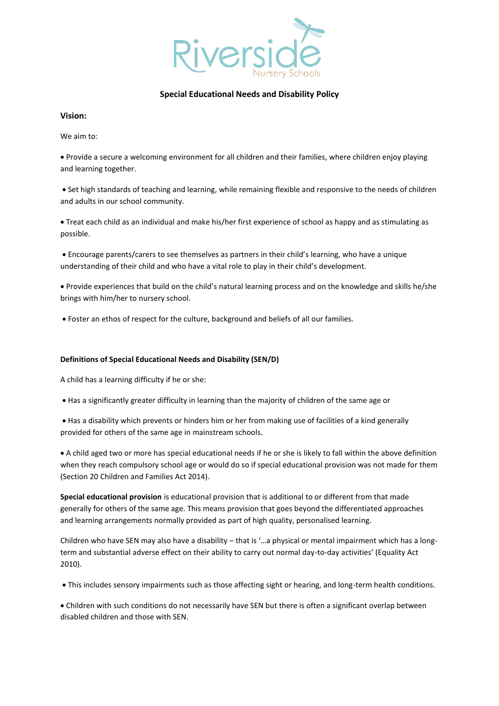

# **Special Educational Needs and Disability Policy**

## **Vision:**

We aim to:

• Provide a secure a welcoming environment for all children and their families, where children enjoy playing and learning together.

• Set high standards of teaching and learning, while remaining flexible and responsive to the needs of children and adults in our school community.

• Treat each child as an individual and make his/her first experience of school as happy and as stimulating as possible.

• Encourage parents/carers to see themselves as partners in their child's learning, who have a unique understanding of their child and who have a vital role to play in their child's development.

• Provide experiences that build on the child's natural learning process and on the knowledge and skills he/she brings with him/her to nursery school.

• Foster an ethos of respect for the culture, background and beliefs of all our families.

## **Definitions of Special Educational Needs and Disability (SEN/D)**

A child has a learning difficulty if he or she:

- Has a significantly greater difficulty in learning than the majority of children of the same age or
- Has a disability which prevents or hinders him or her from making use of facilities of a kind generally provided for others of the same age in mainstream schools.

• A child aged two or more has special educational needs if he or she is likely to fall within the above definition when they reach compulsory school age or would do so if special educational provision was not made for them (Section 20 Children and Families Act 2014).

**Special educational provision** is educational provision that is additional to or different from that made generally for others of the same age. This means provision that goes beyond the differentiated approaches and learning arrangements normally provided as part of high quality, personalised learning.

Children who have SEN may also have a disability – that is '…a physical or mental impairment which has a longterm and substantial adverse effect on their ability to carry out normal day-to-day activities' (Equality Act 2010).

• This includes sensory impairments such as those affecting sight or hearing, and long-term health conditions.

• Children with such conditions do not necessarily have SEN but there is often a significant overlap between disabled children and those with SEN.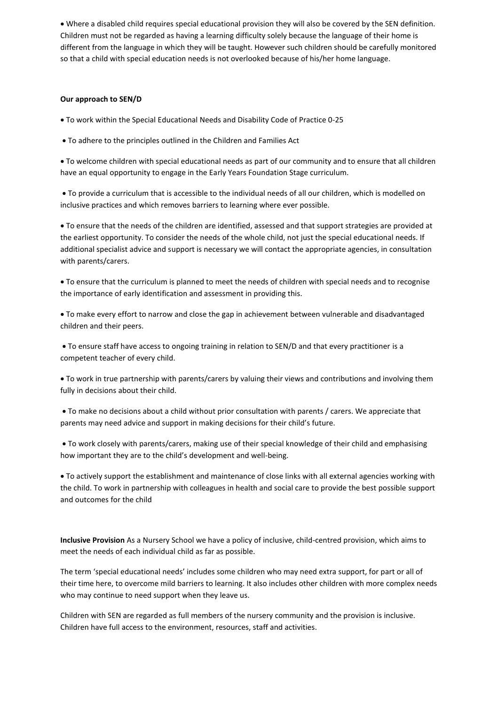• Where a disabled child requires special educational provision they will also be covered by the SEN definition. Children must not be regarded as having a learning difficulty solely because the language of their home is different from the language in which they will be taught. However such children should be carefully monitored so that a child with special education needs is not overlooked because of his/her home language.

## **Our approach to SEN/D**

• To work within the Special Educational Needs and Disability Code of Practice 0-25

• To adhere to the principles outlined in the Children and Families Act

• To welcome children with special educational needs as part of our community and to ensure that all children have an equal opportunity to engage in the Early Years Foundation Stage curriculum.

• To provide a curriculum that is accessible to the individual needs of all our children, which is modelled on inclusive practices and which removes barriers to learning where ever possible.

• To ensure that the needs of the children are identified, assessed and that support strategies are provided at the earliest opportunity. To consider the needs of the whole child, not just the special educational needs. If additional specialist advice and support is necessary we will contact the appropriate agencies, in consultation with parents/carers.

• To ensure that the curriculum is planned to meet the needs of children with special needs and to recognise the importance of early identification and assessment in providing this.

• To make every effort to narrow and close the gap in achievement between vulnerable and disadvantaged children and their peers.

• To ensure staff have access to ongoing training in relation to SEN/D and that every practitioner is a competent teacher of every child.

• To work in true partnership with parents/carers by valuing their views and contributions and involving them fully in decisions about their child.

• To make no decisions about a child without prior consultation with parents / carers. We appreciate that parents may need advice and support in making decisions for their child's future.

• To work closely with parents/carers, making use of their special knowledge of their child and emphasising how important they are to the child's development and well-being.

• To actively support the establishment and maintenance of close links with all external agencies working with the child. To work in partnership with colleagues in health and social care to provide the best possible support and outcomes for the child

**Inclusive Provision** As a Nursery School we have a policy of inclusive, child-centred provision, which aims to meet the needs of each individual child as far as possible.

The term 'special educational needs' includes some children who may need extra support, for part or all of their time here, to overcome mild barriers to learning. It also includes other children with more complex needs who may continue to need support when they leave us.

Children with SEN are regarded as full members of the nursery community and the provision is inclusive. Children have full access to the environment, resources, staff and activities.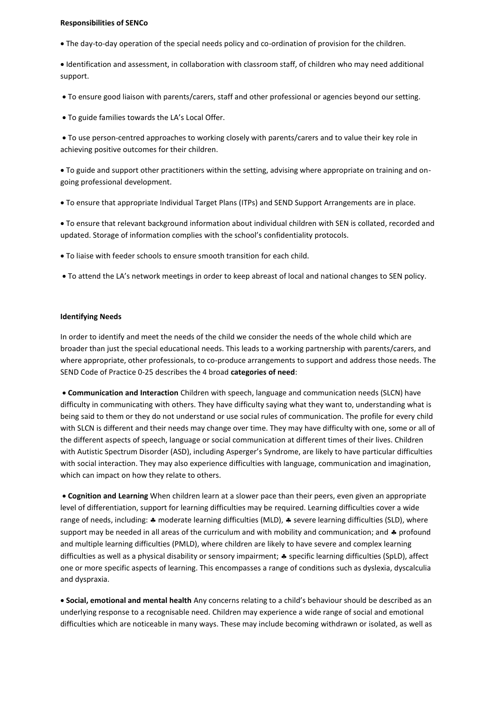#### **Responsibilities of SENCo**

• The day-to-day operation of the special needs policy and co-ordination of provision for the children.

• Identification and assessment, in collaboration with classroom staff, of children who may need additional support.

- To ensure good liaison with parents/carers, staff and other professional or agencies beyond our setting.
- To guide families towards the LA's Local Offer.

• To use person-centred approaches to working closely with parents/carers and to value their key role in achieving positive outcomes for their children.

• To guide and support other practitioners within the setting, advising where appropriate on training and ongoing professional development.

• To ensure that appropriate Individual Target Plans (ITPs) and SEND Support Arrangements are in place.

• To ensure that relevant background information about individual children with SEN is collated, recorded and updated. Storage of information complies with the school's confidentiality protocols.

- To liaise with feeder schools to ensure smooth transition for each child.
- To attend the LA's network meetings in order to keep abreast of local and national changes to SEN policy.

## **Identifying Needs**

In order to identify and meet the needs of the child we consider the needs of the whole child which are broader than just the special educational needs. This leads to a working partnership with parents/carers, and where appropriate, other professionals, to co-produce arrangements to support and address those needs. The SEND Code of Practice 0-25 describes the 4 broad **categories of need**:

• **Communication and Interaction** Children with speech, language and communication needs (SLCN) have difficulty in communicating with others. They have difficulty saying what they want to, understanding what is being said to them or they do not understand or use social rules of communication. The profile for every child with SLCN is different and their needs may change over time. They may have difficulty with one, some or all of the different aspects of speech, language or social communication at different times of their lives. Children with Autistic Spectrum Disorder (ASD), including Asperger's Syndrome, are likely to have particular difficulties with social interaction. They may also experience difficulties with language, communication and imagination, which can impact on how they relate to others.

• **Cognition and Learning** When children learn at a slower pace than their peers, even given an appropriate level of differentiation, support for learning difficulties may be required. Learning difficulties cover a wide range of needs, including:  $\clubsuit$  moderate learning difficulties (MLD),  $\clubsuit$  severe learning difficulties (SLD), where support may be needed in all areas of the curriculum and with mobility and communication; and  $\clubsuit$  profound and multiple learning difficulties (PMLD), where children are likely to have severe and complex learning difficulties as well as a physical disability or sensory impairment;  $*$  specific learning difficulties (SpLD), affect one or more specific aspects of learning. This encompasses a range of conditions such as dyslexia, dyscalculia and dyspraxia.

• **Social, emotional and mental health** Any concerns relating to a child's behaviour should be described as an underlying response to a recognisable need. Children may experience a wide range of social and emotional difficulties which are noticeable in many ways. These may include becoming withdrawn or isolated, as well as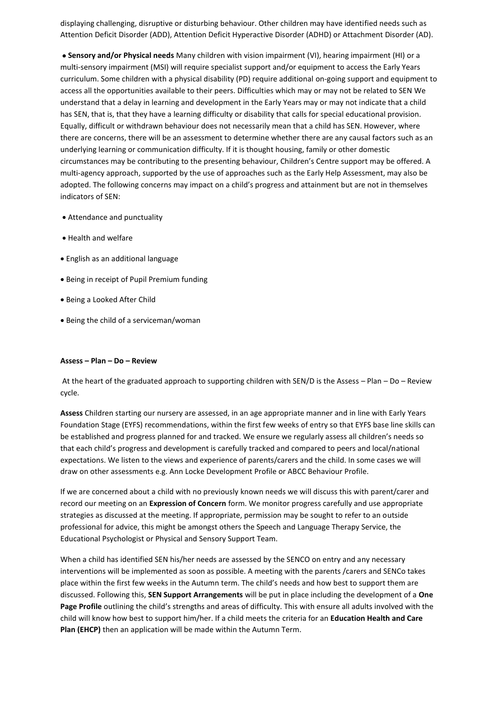displaying challenging, disruptive or disturbing behaviour. Other children may have identified needs such as Attention Deficit Disorder (ADD), Attention Deficit Hyperactive Disorder (ADHD) or Attachment Disorder (AD).

• **Sensory and/or Physical needs** Many children with vision impairment (VI), hearing impairment (HI) or a multi-sensory impairment (MSI) will require specialist support and/or equipment to access the Early Years curriculum. Some children with a physical disability (PD) require additional on-going support and equipment to access all the opportunities available to their peers. Difficulties which may or may not be related to SEN We understand that a delay in learning and development in the Early Years may or may not indicate that a child has SEN, that is, that they have a learning difficulty or disability that calls for special educational provision. Equally, difficult or withdrawn behaviour does not necessarily mean that a child has SEN. However, where there are concerns, there will be an assessment to determine whether there are any causal factors such as an underlying learning or communication difficulty. If it is thought housing, family or other domestic circumstances may be contributing to the presenting behaviour, Children's Centre support may be offered. A multi-agency approach, supported by the use of approaches such as the Early Help Assessment, may also be adopted. The following concerns may impact on a child's progress and attainment but are not in themselves indicators of SEN:

- Attendance and punctuality
- Health and welfare
- English as an additional language
- Being in receipt of Pupil Premium funding
- Being a Looked After Child
- Being the child of a serviceman/woman

## **Assess – Plan – Do – Review**

At the heart of the graduated approach to supporting children with SEN/D is the Assess – Plan – Do – Review cycle.

**Assess** Children starting our nursery are assessed, in an age appropriate manner and in line with Early Years Foundation Stage (EYFS) recommendations, within the first few weeks of entry so that EYFS base line skills can be established and progress planned for and tracked. We ensure we regularly assess all children's needs so that each child's progress and development is carefully tracked and compared to peers and local/national expectations. We listen to the views and experience of parents/carers and the child. In some cases we will draw on other assessments e.g. Ann Locke Development Profile or ABCC Behaviour Profile.

If we are concerned about a child with no previously known needs we will discuss this with parent/carer and record our meeting on an **Expression of Concern** form. We monitor progress carefully and use appropriate strategies as discussed at the meeting. If appropriate, permission may be sought to refer to an outside professional for advice, this might be amongst others the Speech and Language Therapy Service, the Educational Psychologist or Physical and Sensory Support Team.

When a child has identified SEN his/her needs are assessed by the SENCO on entry and any necessary interventions will be implemented as soon as possible. A meeting with the parents /carers and SENCo takes place within the first few weeks in the Autumn term. The child's needs and how best to support them are discussed. Following this, **SEN Support Arrangements** will be put in place including the development of a **One Page Profile** outlining the child's strengths and areas of difficulty. This with ensure all adults involved with the child will know how best to support him/her. If a child meets the criteria for an **Education Health and Care Plan (EHCP)** then an application will be made within the Autumn Term.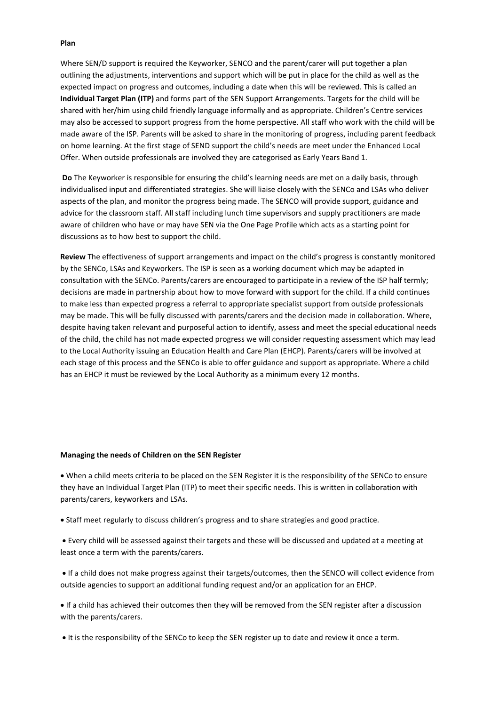## **Plan**

Where SEN/D support is required the Keyworker, SENCO and the parent/carer will put together a plan outlining the adjustments, interventions and support which will be put in place for the child as well as the expected impact on progress and outcomes, including a date when this will be reviewed. This is called an **Individual Target Plan (ITP)** and forms part of the SEN Support Arrangements. Targets for the child will be shared with her/him using child friendly language informally and as appropriate. Children's Centre services may also be accessed to support progress from the home perspective. All staff who work with the child will be made aware of the ISP. Parents will be asked to share in the monitoring of progress, including parent feedback on home learning. At the first stage of SEND support the child's needs are meet under the Enhanced Local Offer. When outside professionals are involved they are categorised as Early Years Band 1.

**Do** The Keyworker is responsible for ensuring the child's learning needs are met on a daily basis, through individualised input and differentiated strategies. She will liaise closely with the SENCo and LSAs who deliver aspects of the plan, and monitor the progress being made. The SENCO will provide support, guidance and advice for the classroom staff. All staff including lunch time supervisors and supply practitioners are made aware of children who have or may have SEN via the One Page Profile which acts as a starting point for discussions as to how best to support the child.

**Review** The effectiveness of support arrangements and impact on the child's progress is constantly monitored by the SENCo, LSAs and Keyworkers. The ISP is seen as a working document which may be adapted in consultation with the SENCo. Parents/carers are encouraged to participate in a review of the ISP half termly; decisions are made in partnership about how to move forward with support for the child. If a child continues to make less than expected progress a referral to appropriate specialist support from outside professionals may be made. This will be fully discussed with parents/carers and the decision made in collaboration. Where, despite having taken relevant and purposeful action to identify, assess and meet the special educational needs of the child, the child has not made expected progress we will consider requesting assessment which may lead to the Local Authority issuing an Education Health and Care Plan (EHCP). Parents/carers will be involved at each stage of this process and the SENCo is able to offer guidance and support as appropriate. Where a child has an EHCP it must be reviewed by the Local Authority as a minimum every 12 months.

#### **Managing the needs of Children on the SEN Register**

• When a child meets criteria to be placed on the SEN Register it is the responsibility of the SENCo to ensure they have an Individual Target Plan (ITP) to meet their specific needs. This is written in collaboration with parents/carers, keyworkers and LSAs.

• Staff meet regularly to discuss children's progress and to share strategies and good practice.

• Every child will be assessed against their targets and these will be discussed and updated at a meeting at least once a term with the parents/carers.

• If a child does not make progress against their targets/outcomes, then the SENCO will collect evidence from outside agencies to support an additional funding request and/or an application for an EHCP.

• If a child has achieved their outcomes then they will be removed from the SEN register after a discussion with the parents/carers.

• It is the responsibility of the SENCo to keep the SEN register up to date and review it once a term.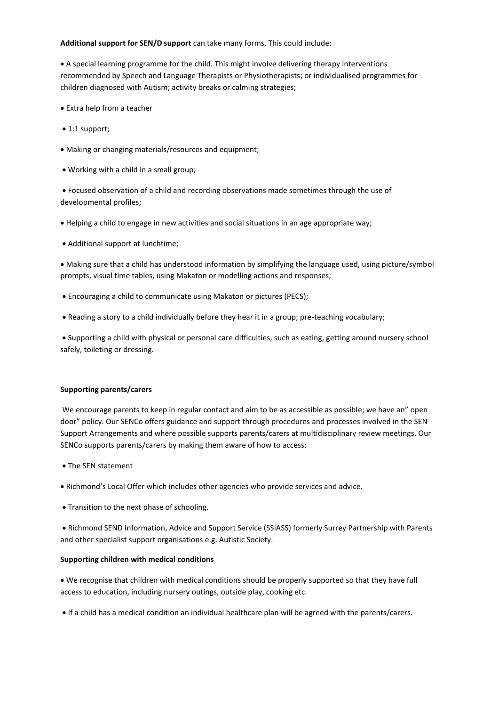## **Additional support for SEN/D support** can take many forms. This could include:

• A special learning programme for the child. This might involve delivering therapy interventions recommended by Speech and Language Therapists or Physiotherapists; or individualised programmes for children diagnosed with Autism; activity breaks or calming strategies;

- Extra help from a teacher
- 1:1 support;
- Making or changing materials/resources and equipment;
- Working with a child in a small group;

• Focused observation of a child and recording observations made sometimes through the use of developmental profiles;

- Helping a child to engage in new activities and social situations in an age appropriate way;
- Additional support at lunchtime;

• Making sure that a child has understood information by simplifying the language used, using picture/symbol prompts, visual time tables, using Makaton or modelling actions and responses;

- Encouraging a child to communicate using Makaton or pictures (PECS);
- Reading a story to a child individually before they hear it in a group; pre-teaching vocabulary;

• Supporting a child with physical or personal care difficulties, such as eating, getting around nursery school safely, toileting or dressing.

## **Supporting parents/carers**

We encourage parents to keep in regular contact and aim to be as accessible as possible; we have an" open door" policy. Our SENCo offers guidance and support through procedures and processes involved in the SEN Support Arrangements and where possible supports parents/carers at multidisciplinary review meetings. Our SENCo supports parents/carers by making them aware of how to access:

- The SEN statement
- Richmond's Local Offer which includes other agencies who provide services and advice.
- Transition to the next phase of schooling.

• Richmond SEND Information, Advice and Support Service (SSIASS) formerly Surrey Partnership with Parents and other specialist support organisations e.g. Autistic Society.

## **Supporting children with medical conditions**

• We recognise that children with medical conditions should be properly supported so that they have full access to education, including nursery outings, outside play, cooking etc.

• If a child has a medical condition an individual healthcare plan will be agreed with the parents/carers.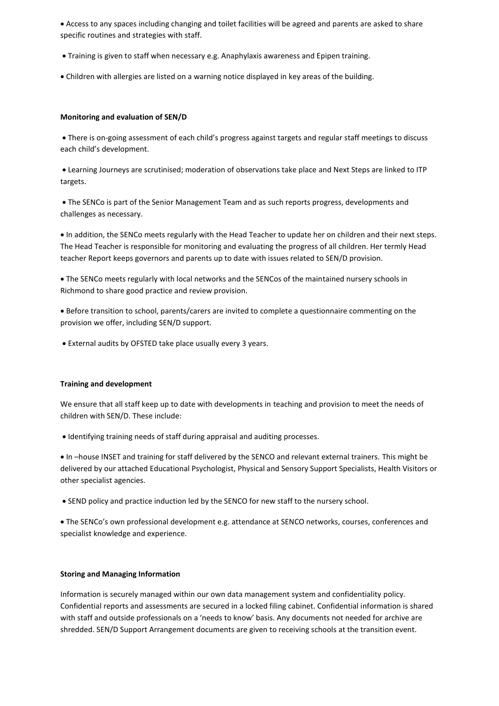• Access to any spaces including changing and toilet facilities will be agreed and parents are asked to share specific routines and strategies with staff.

- Training is given to staff when necessary e.g. Anaphylaxis awareness and Epipen training.
- Children with allergies are listed on a warning notice displayed in key areas of the building.

## **Monitoring and evaluation of SEN/D**

• There is on-going assessment of each child's progress against targets and regular staff meetings to discuss each child's development.

• Learning Journeys are scrutinised; moderation of observations take place and Next Steps are linked to ITP targets.

• The SENCo is part of the Senior Management Team and as such reports progress, developments and challenges as necessary.

• In addition, the SENCo meets regularly with the Head Teacher to update her on children and their next steps. The Head Teacher is responsible for monitoring and evaluating the progress of all children. Her termly Head teacher Report keeps governors and parents up to date with issues related to SEN/D provision.

• The SENCo meets regularly with local networks and the SENCos of the maintained nursery schools in Richmond to share good practice and review provision.

• Before transition to school, parents/carers are invited to complete a questionnaire commenting on the provision we offer, including SEN/D support.

• External audits by OFSTED take place usually every 3 years.

## **Training and development**

We ensure that all staff keep up to date with developments in teaching and provision to meet the needs of children with SEN/D. These include:

• Identifying training needs of staff during appraisal and auditing processes.

• In –house INSET and training for staff delivered by the SENCO and relevant external trainers. This might be delivered by our attached Educational Psychologist, Physical and Sensory Support Specialists, Health Visitors or other specialist agencies.

• SEND policy and practice induction led by the SENCO for new staff to the nursery school.

• The SENCo's own professional development e.g. attendance at SENCO networks, courses, conferences and specialist knowledge and experience.

## **Storing and Managing Information**

Information is securely managed within our own data management system and confidentiality policy. Confidential reports and assessments are secured in a locked filing cabinet. Confidential information is shared with staff and outside professionals on a 'needs to know' basis. Any documents not needed for archive are shredded. SEN/D Support Arrangement documents are given to receiving schools at the transition event.